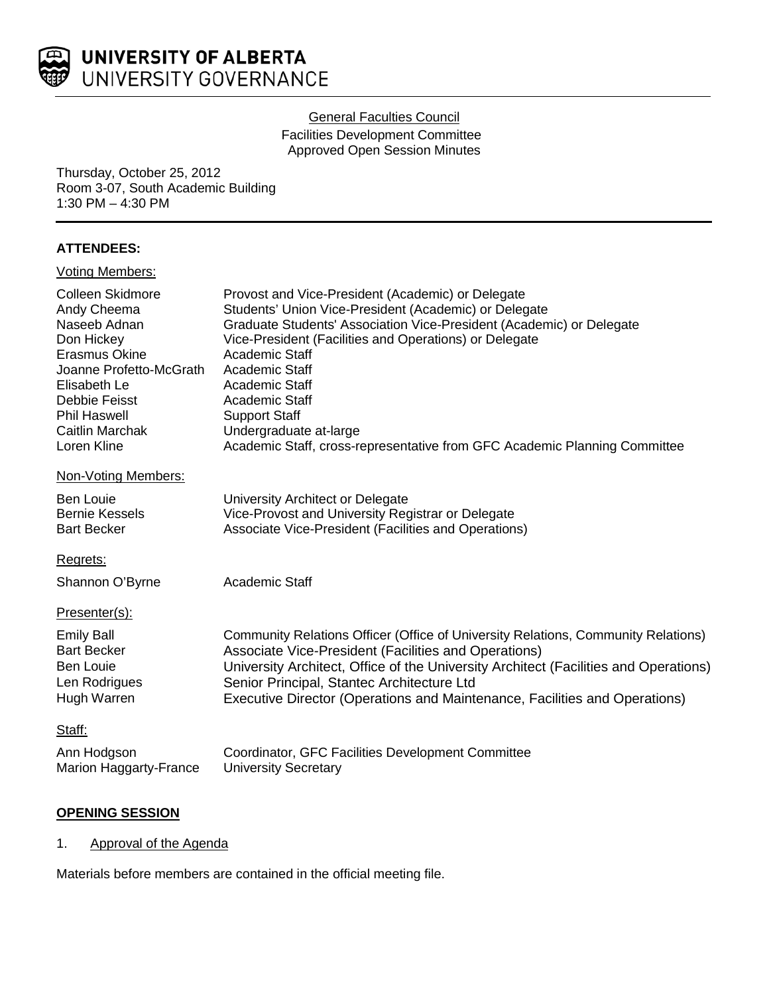

### **General Faculties Council**

Facilities Development Committee Approved Open Session Minutes

Thursday, October 25, 2012 Room 3-07, South Academic Building 1:30 PM – 4:30 PM

## **ATTENDEES:**

| <b>Voting Members:</b>                                                                                                                                                                                     |                                                                                                                                                                                                                                                                                                                                                                                                                                                     |
|------------------------------------------------------------------------------------------------------------------------------------------------------------------------------------------------------------|-----------------------------------------------------------------------------------------------------------------------------------------------------------------------------------------------------------------------------------------------------------------------------------------------------------------------------------------------------------------------------------------------------------------------------------------------------|
| Colleen Skidmore<br>Andy Cheema<br>Naseeb Adnan<br>Don Hickey<br><b>Erasmus Okine</b><br>Joanne Profetto-McGrath<br>Elisabeth Le<br>Debbie Feisst<br><b>Phil Haswell</b><br>Caitlin Marchak<br>Loren Kline | Provost and Vice-President (Academic) or Delegate<br>Students' Union Vice-President (Academic) or Delegate<br>Graduate Students' Association Vice-President (Academic) or Delegate<br>Vice-President (Facilities and Operations) or Delegate<br>Academic Staff<br>Academic Staff<br>Academic Staff<br>Academic Staff<br><b>Support Staff</b><br>Undergraduate at-large<br>Academic Staff, cross-representative from GFC Academic Planning Committee |
| Non-Voting Members:                                                                                                                                                                                        |                                                                                                                                                                                                                                                                                                                                                                                                                                                     |
| <b>Ben Louie</b><br><b>Bernie Kessels</b><br><b>Bart Becker</b>                                                                                                                                            | University Architect or Delegate<br>Vice-Provost and University Registrar or Delegate<br>Associate Vice-President (Facilities and Operations)                                                                                                                                                                                                                                                                                                       |
| Regrets:                                                                                                                                                                                                   |                                                                                                                                                                                                                                                                                                                                                                                                                                                     |
| Shannon O'Byrne                                                                                                                                                                                            | Academic Staff                                                                                                                                                                                                                                                                                                                                                                                                                                      |
| Presenter(s):                                                                                                                                                                                              |                                                                                                                                                                                                                                                                                                                                                                                                                                                     |
| <b>Emily Ball</b><br><b>Bart Becker</b><br><b>Ben Louie</b><br>Len Rodrigues<br>Hugh Warren                                                                                                                | Community Relations Officer (Office of University Relations, Community Relations)<br>Associate Vice-President (Facilities and Operations)<br>University Architect, Office of the University Architect (Facilities and Operations)<br>Senior Principal, Stantec Architecture Ltd<br>Executive Director (Operations and Maintenance, Facilities and Operations)                                                                                       |
| Staff:                                                                                                                                                                                                     |                                                                                                                                                                                                                                                                                                                                                                                                                                                     |
| Ann Hodgson<br>Marion Haggarty-France                                                                                                                                                                      | Coordinator, GFC Facilities Development Committee<br><b>University Secretary</b>                                                                                                                                                                                                                                                                                                                                                                    |

## **OPENING SESSION**

1. Approval of the Agenda

Materials before members are contained in the official meeting file.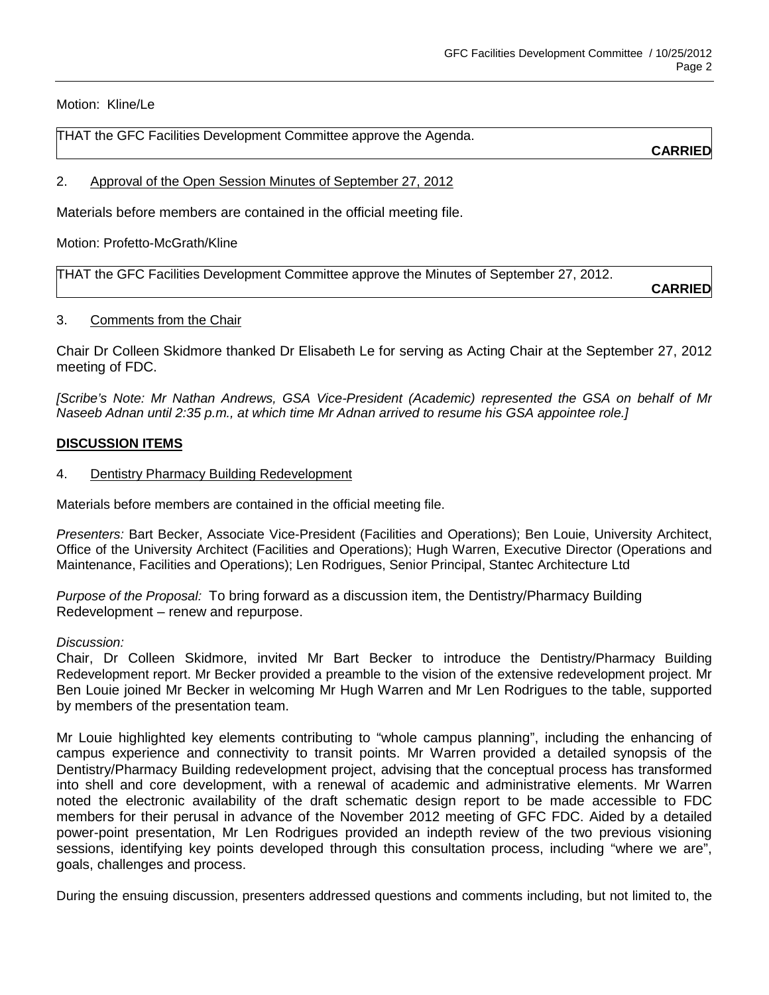Motion: Kline/Le

THAT the GFC Facilities Development Committee approve the Agenda.

**CARRIED**

2. Approval of the Open Session Minutes of September 27, 2012

Materials before members are contained in the official meeting file.

Motion: Profetto-McGrath/Kline

THAT the GFC Facilities Development Committee approve the Minutes of September 27, 2012.

**CARRIED**

#### 3. Comments from the Chair

Chair Dr Colleen Skidmore thanked Dr Elisabeth Le for serving as Acting Chair at the September 27, 2012 meeting of FDC.

*[Scribe's Note: Mr Nathan Andrews, GSA Vice-President (Academic) represented the GSA on behalf of Mr Naseeb Adnan until 2:35 p.m., at which time Mr Adnan arrived to resume his GSA appointee role.]*

#### **DISCUSSION ITEMS**

4. Dentistry Pharmacy Building Redevelopment

Materials before members are contained in the official meeting file.

*Presenters:* Bart Becker, Associate Vice-President (Facilities and Operations); Ben Louie, University Architect, Office of the University Architect (Facilities and Operations); Hugh Warren, Executive Director (Operations and Maintenance, Facilities and Operations); Len Rodrigues, Senior Principal, Stantec Architecture Ltd

*Purpose of the Proposal:* To bring forward as a discussion item, the Dentistry/Pharmacy Building Redevelopment – renew and repurpose.

#### *Discussion:*

Chair, Dr Colleen Skidmore, invited Mr Bart Becker to introduce the Dentistry/Pharmacy Building Redevelopment report. Mr Becker provided a preamble to the vision of the extensive redevelopment project. Mr Ben Louie joined Mr Becker in welcoming Mr Hugh Warren and Mr Len Rodrigues to the table, supported by members of the presentation team.

Mr Louie highlighted key elements contributing to "whole campus planning", including the enhancing of campus experience and connectivity to transit points. Mr Warren provided a detailed synopsis of the Dentistry/Pharmacy Building redevelopment project, advising that the conceptual process has transformed into shell and core development, with a renewal of academic and administrative elements. Mr Warren noted the electronic availability of the draft schematic design report to be made accessible to FDC members for their perusal in advance of the November 2012 meeting of GFC FDC. Aided by a detailed power-point presentation, Mr Len Rodrigues provided an indepth review of the two previous visioning sessions, identifying key points developed through this consultation process, including "where we are", goals, challenges and process.

During the ensuing discussion, presenters addressed questions and comments including, but not limited to, the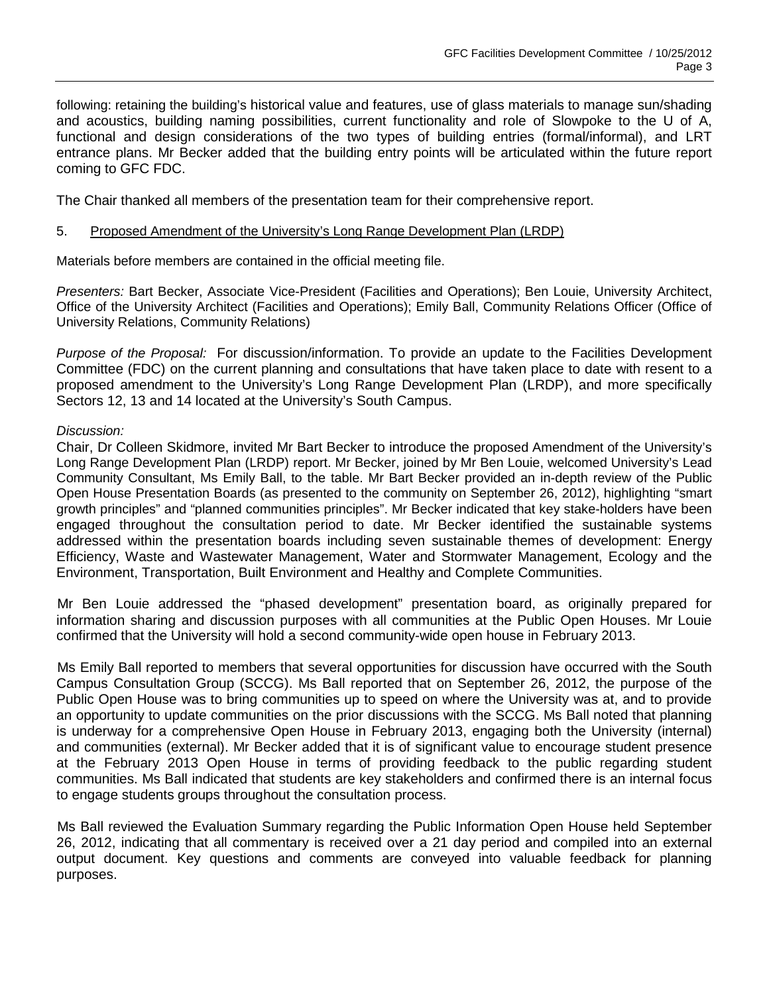following: retaining the building's historical value and features, use of glass materials to manage sun/shading and acoustics, building naming possibilities, current functionality and role of Slowpoke to the U of A, functional and design considerations of the two types of building entries (formal/informal), and LRT entrance plans. Mr Becker added that the building entry points will be articulated within the future report coming to GFC FDC.

The Chair thanked all members of the presentation team for their comprehensive report.

### 5. Proposed Amendment of the University's Long Range Development Plan (LRDP)

Materials before members are contained in the official meeting file.

*Presenters:* Bart Becker, Associate Vice-President (Facilities and Operations); Ben Louie, University Architect, Office of the University Architect (Facilities and Operations); Emily Ball, Community Relations Officer (Office of University Relations, Community Relations)

*Purpose of the Proposal:* For discussion/information. To provide an update to the Facilities Development Committee (FDC) on the current planning and consultations that have taken place to date with resent to a proposed amendment to the University's Long Range Development Plan (LRDP), and more specifically Sectors 12, 13 and 14 located at the University's South Campus.

#### *Discussion:*

Chair, Dr Colleen Skidmore, invited Mr Bart Becker to introduce the proposed Amendment of the University's Long Range Development Plan (LRDP) report. Mr Becker, joined by Mr Ben Louie, welcomed University's Lead Community Consultant, Ms Emily Ball, to the table. Mr Bart Becker provided an in-depth review of the Public Open House Presentation Boards (as presented to the community on September 26, 2012), highlighting "smart growth principles" and "planned communities principles". Mr Becker indicated that key stake-holders have been engaged throughout the consultation period to date. Mr Becker identified the sustainable systems addressed within the presentation boards including seven sustainable themes of development: Energy Efficiency, Waste and Wastewater Management, Water and Stormwater Management, Ecology and the Environment, Transportation, Built Environment and Healthy and Complete Communities.

Mr Ben Louie addressed the "phased development" presentation board, as originally prepared for information sharing and discussion purposes with all communities at the Public Open Houses. Mr Louie confirmed that the University will hold a second community-wide open house in February 2013.

Ms Emily Ball reported to members that several opportunities for discussion have occurred with the South Campus Consultation Group (SCCG). Ms Ball reported that on September 26, 2012, the purpose of the Public Open House was to bring communities up to speed on where the University was at, and to provide an opportunity to update communities on the prior discussions with the SCCG. Ms Ball noted that planning is underway for a comprehensive Open House in February 2013, engaging both the University (internal) and communities (external). Mr Becker added that it is of significant value to encourage student presence at the February 2013 Open House in terms of providing feedback to the public regarding student communities. Ms Ball indicated that students are key stakeholders and confirmed there is an internal focus to engage students groups throughout the consultation process.

Ms Ball reviewed the Evaluation Summary regarding the Public Information Open House held September 26, 2012, indicating that all commentary is received over a 21 day period and compiled into an external output document. Key questions and comments are conveyed into valuable feedback for planning purposes.